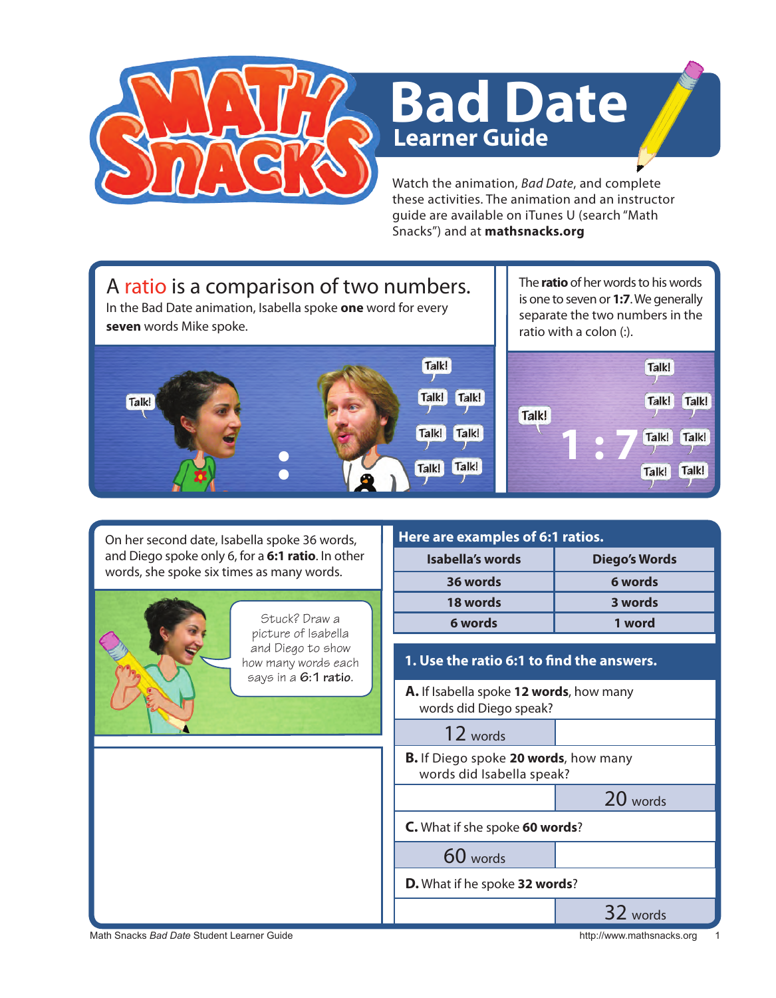

## **Learner Guide Bad Date**

Watch the animation, *Bad Date*, and complete these activities. The animation and an instructor guide are available on iTunes U (search "Math Snacks") and at **mathsnacks.org**

## A ratio is a comparison of two numbers.

In the Bad Date animation, Isabella spoke **one** word for every **seven** words Mike spoke.



The **ratio** of her words to his words is one to seven or **1:7**. We generally separate the two numbers in the ratio with a colon (:).



Math Snacks *Bad Date* Student Learner Guide **http://www.mathsnacks.org 1999** http://www.mathsnacks.org 1999 On her second date, Isabella spoke 36 words, and Diego spoke only 6, for a **6:1 ratio**. In other words, she spoke six times as many words. **A.** If Isabella spoke **12 words**, how many words did Diego speak? 12 words **B.** If Diego spoke **20 words**, how many words did Isabella speak? 20 words **C.** What if she spoke **60 words**? 60 words **D.** What if he spoke **32 words**? 32 words **Here are examples of 6:1 ratios. Isabella's words Diego's Words 36 words 6 words 18 words 3 words 6 words 1 word 1. Use the ratio 6:1 to find the answers.** Stuck? Draw a picture of Isabella and Diego to show how many words each says in a **6:1 ratio**.